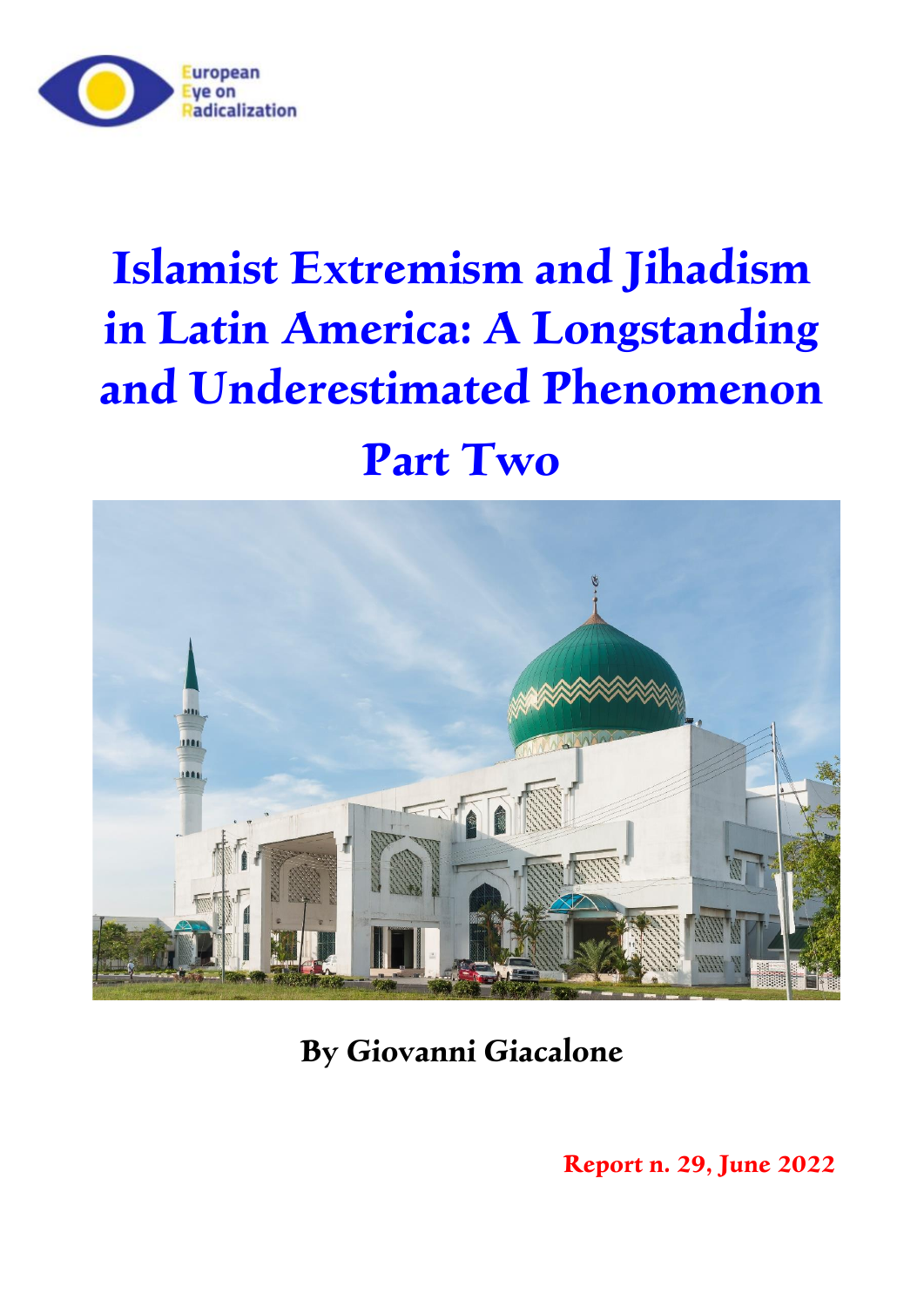

# **Islamist Extremism and Jihadism in Latin America: A Longstanding and Underestimated Phenomenon**

## **Part Two**



**By Giovanni Giacalone**

**Report n. 29, June 2022**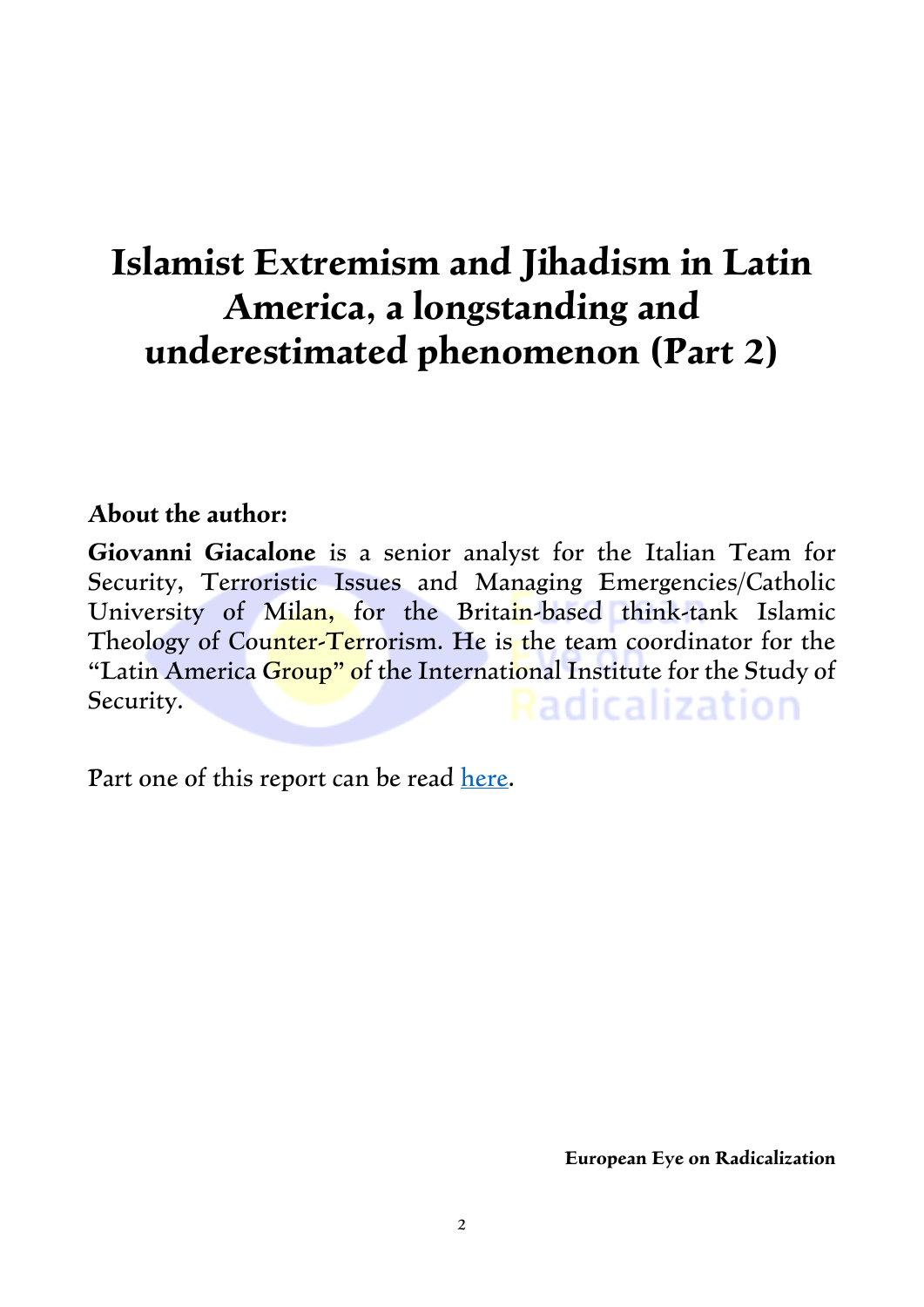### **Islamist Extremism and Jihadism in Latin America, a longstanding and underestimated phenomenon (Part 2)**

#### **About the author:**

**Giovanni Giacalone** is a senior analyst for the Italian Team for Security, Terroristic Issues and Managing Emergencies/Catholic University of Milan, for the Britain-based think-tank Islamic Theology of Counter-Terrorism. He is the team coordinator for the "Latin America Group" of the International Institute for the Study of Security. Radicalization

Part one of this report can be read [here.](https://eeradicalization.com/latin-america-jihad-iran-hezbollah-al-qaeda-muslim-brotherhood-isis-giovanni-giacalone/)

**European Eye on Radicalization**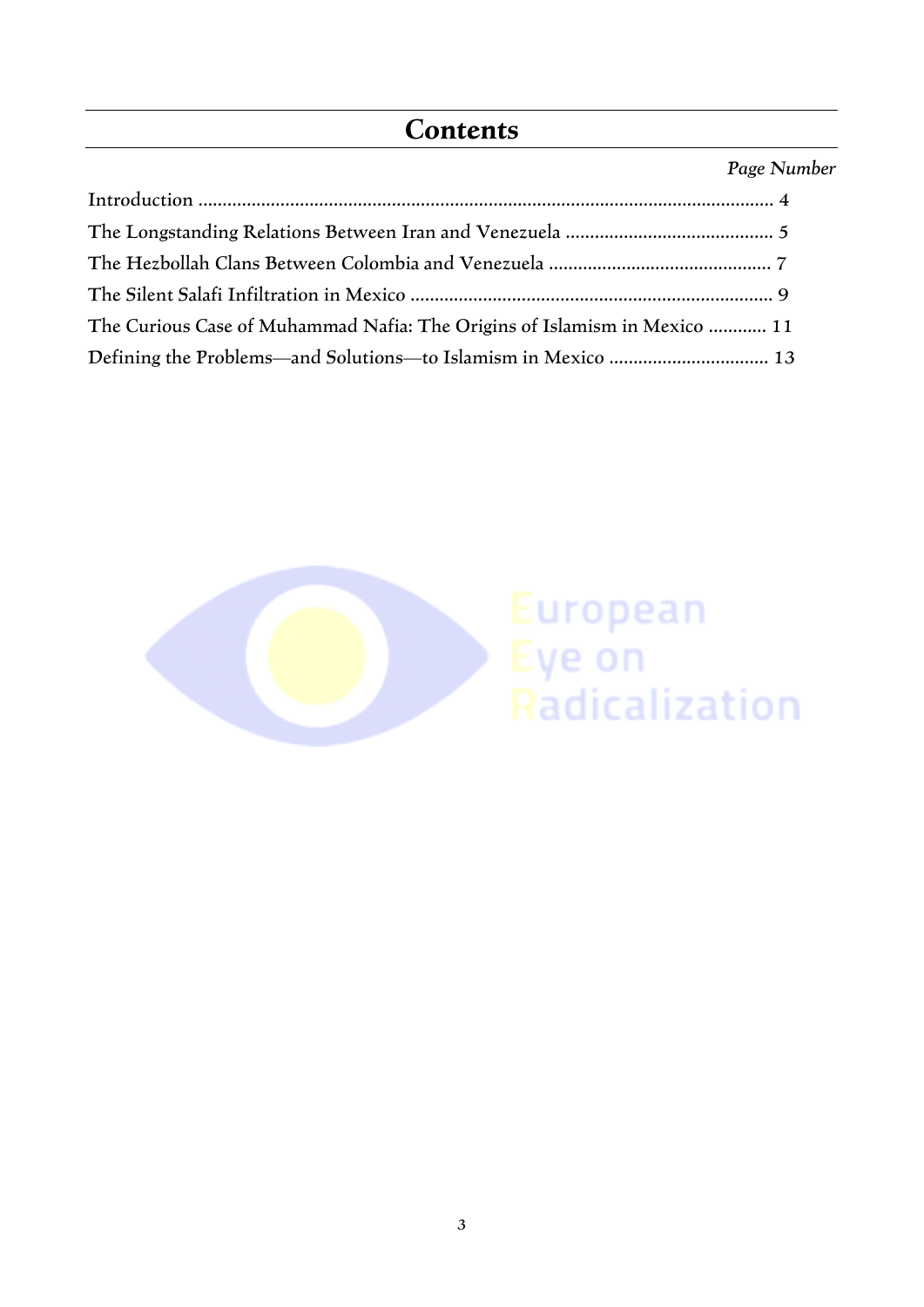#### **Contents**

#### *Page Number*

| The Curious Case of Muhammad Nafia: The Origins of Islamism in Mexico  11 |  |
|---------------------------------------------------------------------------|--|
|                                                                           |  |

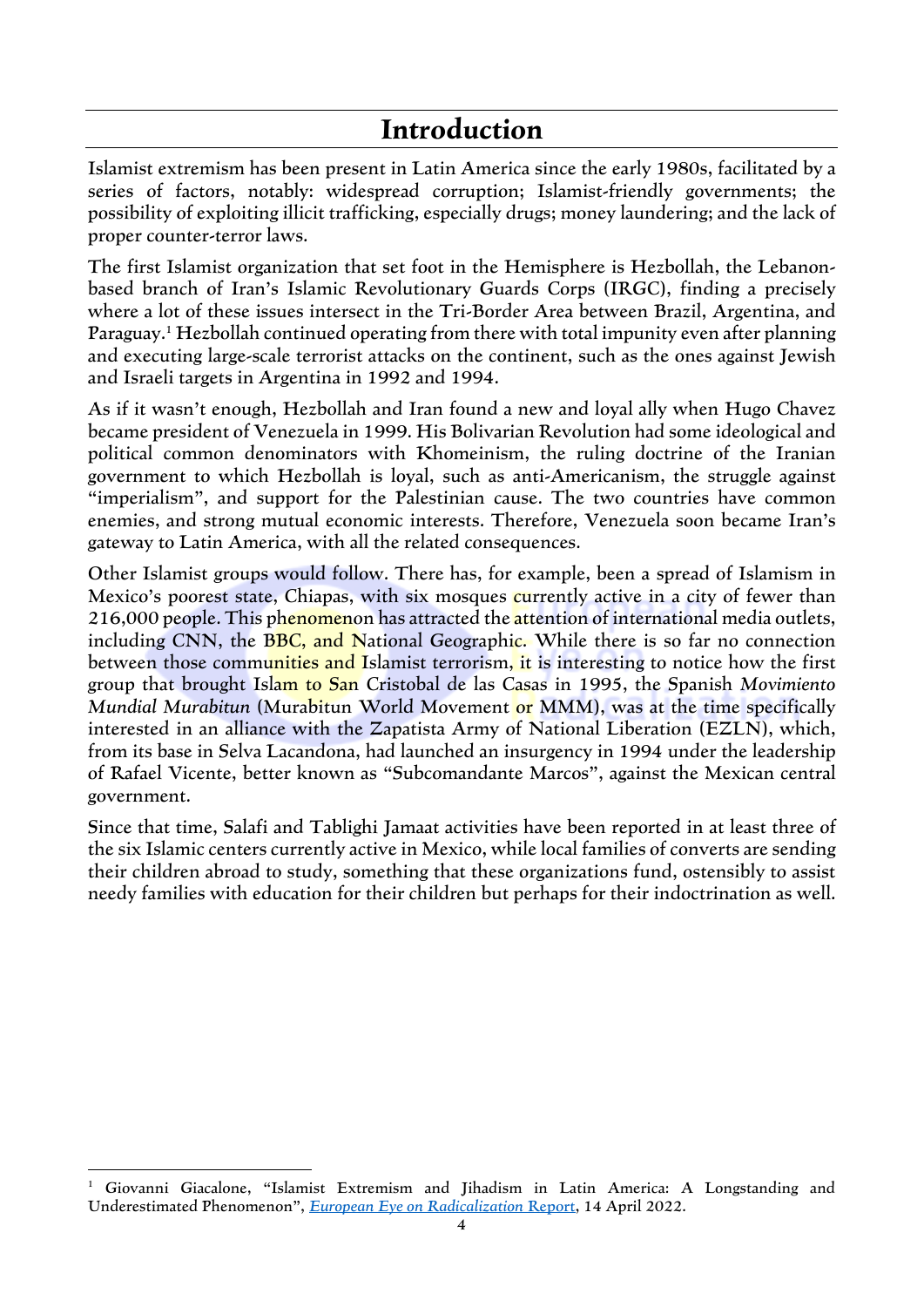#### **Introduction**

Islamist extremism has been present in Latin America since the early 1980s, facilitated by a series of factors, notably: widespread corruption; Islamist-friendly governments; the possibility of exploiting illicit trafficking, especially drugs; money laundering; and the lack of proper counter-terror laws.

The first Islamist organization that set foot in the Hemisphere is Hezbollah, the Lebanonbased branch of Iran's Islamic Revolutionary Guards Corps (IRGC), finding a precisely where a lot of these issues intersect in the Tri-Border Area between Brazil, Argentina, and Paraguay.<sup>1</sup> Hezbollah continued operating from there with total impunity even after planning and executing large-scale terrorist attacks on the continent, such as the ones against Jewish and Israeli targets in Argentina in 1992 and 1994.

As if it wasn't enough, Hezbollah and Iran found a new and loyal ally when Hugo Chavez became president of Venezuela in 1999. His Bolivarian Revolution had some ideological and political common denominators with Khomeinism, the ruling doctrine of the Iranian government to which Hezbollah is loyal, such as anti-Americanism, the struggle against "imperialism", and support for the Palestinian cause. The two countries have common enemies, and strong mutual economic interests. Therefore, Venezuela soon became Iran's gateway to Latin America, with all the related consequences.

Other Islamist groups would follow. There has, for example, been a spread of Islamism in Mexico's poorest state, Chiapas, with six mosques currently active in a city of fewer than 216,000 people. This phenomenon has attracted the attention of international media outlets, including CNN, the BBC, and National Geographic. While there is so far no connection between those communities and Islamist terrorism, it is interesting to notice how the first group that brought Islam to San Cristobal de las Casas in 1995, the Spanish *Movimiento Mundial Murabitun* (Murabitun World Movement or MMM), was at the time specifically interested in an alliance with the Zapatista Army of National Liberation (EZLN), which, from its base in Selva Lacandona, had launched an insurgency in 1994 under the leadership of Rafael Vicente, better known as "Subcomandante Marcos", against the Mexican central government.

Since that time, Salafi and Tablighi Jamaat activities have been reported in at least three of the six Islamic centers currently active in Mexico, while local families of converts are sending their children abroad to study, something that these organizations fund, ostensibly to assist needy families with education for their children but perhaps for their indoctrination as well.

<sup>&</sup>lt;sup>1</sup> Giovanni Giacalone, "Islamist Extremism and Jihadism in Latin America: A Longstanding and Underestimated Phenomenon", *[European Eye on Radicalization](https://eeradicalization.com/latin-america-jihad-iran-hezbollah-al-qaeda-muslim-brotherhood-isis-giovanni-giacalone/)* Report, 14 April 2022.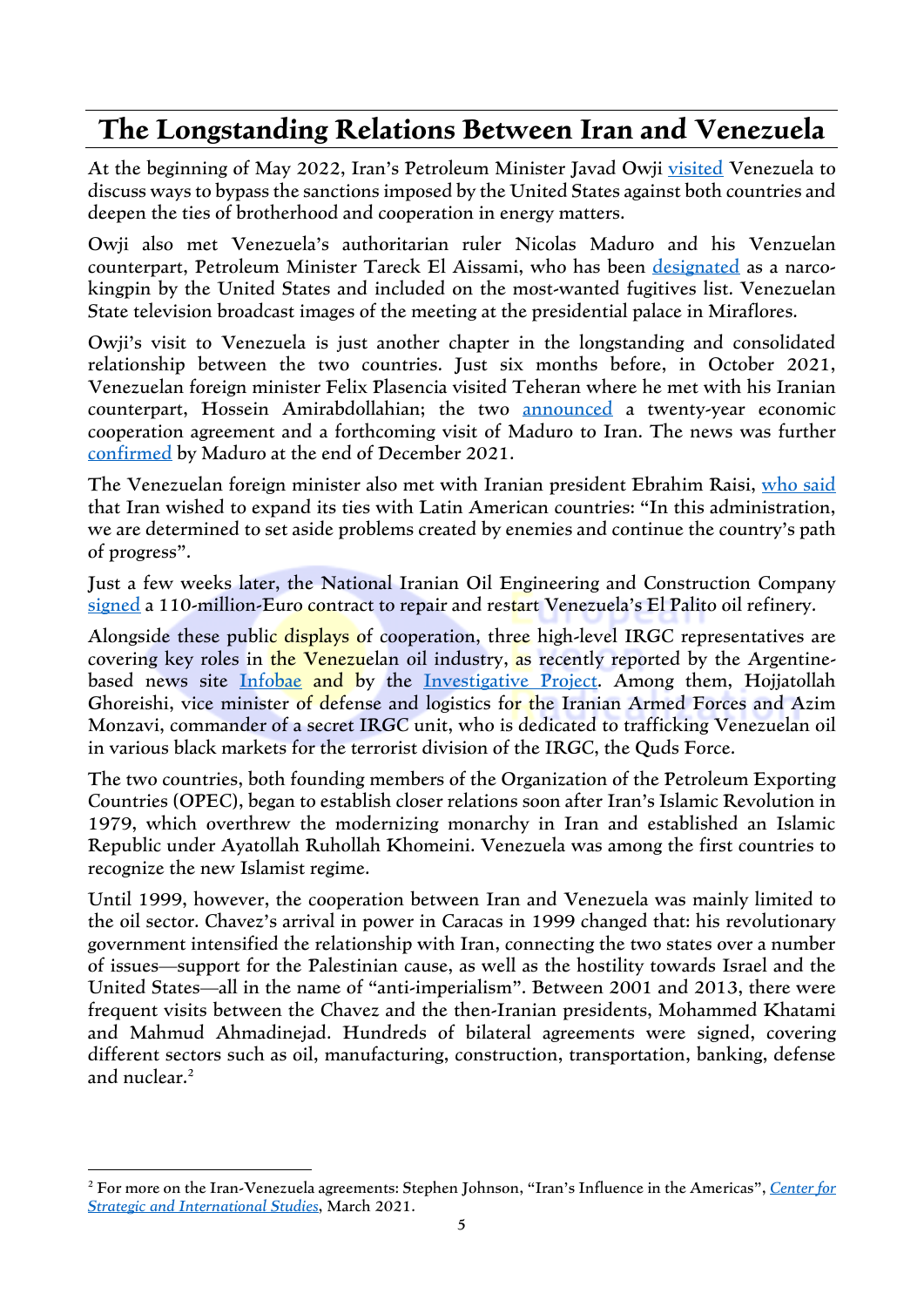#### **The Longstanding Relations Between Iran and Venezuela**

At the beginning of May 2022, Iran's Petroleum Minister Javad Owji [visited](https://www.reuters.com/business/energy/irans-oil-minister-meets-venezuelas-maduro-eyes-boosting-cooperation-2022-05-03/) Venezuela to discuss ways to bypass the sanctions imposed by the United States against both countries and deepen the ties of brotherhood and cooperation in energy matters.

Owji also met Venezuela's authoritarian ruler Nicolas Maduro and his Venzuelan counterpart, Petroleum Minister Tareck El Aissami, who has been [designated](https://www.justice.gov/usao-sdny/pr/venezuelan-minister-and-former-vice-president-tareck-zaidan-el-aissami-maddah-charged) as a narcokingpin by the United States and included on the most-wanted fugitives list. Venezuelan State television broadcast images of the meeting at the presidential palace in Miraflores.

Owji's visit to Venezuela is just another chapter in the longstanding and consolidated relationship between the two countries. Just six months before, in October 2021, Venezuelan foreign minister Felix Plasencia visited Teheran where he met with his Iranian counterpart, Hossein Amirabdollahian; the two [announced](https://www.iranintl.com/en/20211018026775) a twenty-year economic cooperation agreement and a forthcoming visit of Maduro to Iran. The news was further [confirmed](https://www.reuters.com/world/americas/venezuelas-president-visit-iran-very-soon-2021-12-27/) by Maduro at the end of December 2021.

The Venezuelan foreign minister also met with Iranian president Ebrahim Raisi, [who](https://www.aljazeera.com/news/2021/10/18/leaders-of-iran-and-venezuela-to-sign-20-year-cooperation-accord) said that Iran wished to expand its ties with Latin American countries: "In this administration, we are determined to set aside problems created by enemies and continue the country's path of progress".

Just a few weeks later, the National Iranian Oil Engineering and Construction Company [signed](https://www.reuters.com/business/energy/iran-signs-110-mln-euro-contract-repair-venezuelan-refinery-2022-05-13/) a 110-million-Euro contract to repair and restart Venezuela's El Palito oil refinery.

Alongside these public displays of cooperation, three high-level IRGC representatives are covering key roles in the Venezuelan oil industry, as recently reported by the Argentine-based news site [Infobae](https://www.infobae.com/america/mundo/2022/04/20/lazos-de-riesgo-quienes-son-los-oficiales-iranies-que-negocian-con-maduro-el-petroleo-venezolano/) and by the [Investigative](https://www.investigativeproject.org/9169/iranian-assistance-boosts-venezuela-oil-industry) Project. Among them, Hojjatollah Ghoreishi, vice minister of defense and logistics for the Iranian Armed Forces and Azim Monzavi, commander of a secret IRGC unit, who is dedicated to trafficking Venezuelan oil in various black markets for the terrorist division of the IRGC, the Quds Force.

The two countries, both founding members of the Organization of the Petroleum Exporting Countries (OPEC), began to establish closer relations soon after Iran's Islamic Revolution in 1979, which overthrew the modernizing monarchy in Iran and established an Islamic Republic under Ayatollah Ruhollah Khomeini. Venezuela was among the first countries to recognize the new Islamist regime.

Until 1999, however, the cooperation between Iran and Venezuela was mainly limited to the oil sector. Chavez's arrival in power in Caracas in 1999 changed that: his revolutionary government intensified the relationship with Iran, connecting the two states over a number of issues—support for the Palestinian cause, as well as the hostility towards Israel and the United States—all in the name of "anti-imperialism". Between 2001 and 2013, there were frequent visits between the Chavez and the then-Iranian presidents, Mohammed Khatami and Mahmud Ahmadinejad. Hundreds of bilateral agreements were signed, covering different sectors such as oil, manufacturing, construction, transportation, banking, defense and nuclear.<sup>2</sup>

<sup>2</sup> For more on the Iran-Venezuela agreements: Stephen Johnson, "Iran's Influence in the Americas", *[Center](https://csis-website-prod.s3.amazonaws.com/s3fs-public/legacy_files/files/publication/120312__Johnson_Iran%27sInfluence_web.pdf) for Strategic and [International](https://csis-website-prod.s3.amazonaws.com/s3fs-public/legacy_files/files/publication/120312__Johnson_Iran%27sInfluence_web.pdf) Studies*, March 2021.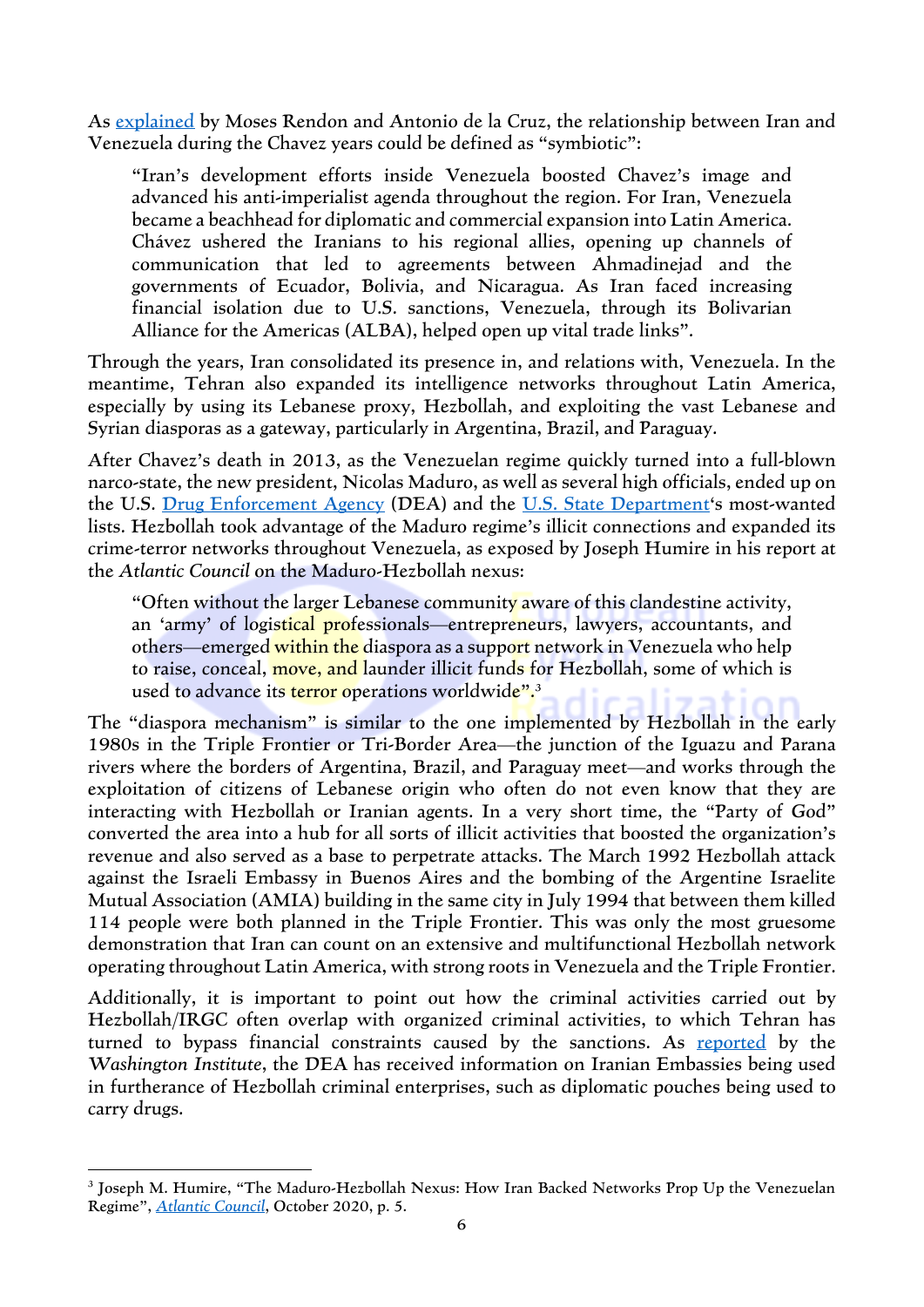As [explained](https://www.csis.org/analysis/understanding-iran-venezuela-relationship) by Moses Rendon and Antonio de la Cruz, the relationship between Iran and Venezuela during the Chavez years could be defined as "symbiotic":

"Iran's development efforts inside Venezuela boosted Chavez's image and advanced his anti-imperialist agenda throughout the region. For Iran, Venezuela became a beachhead for diplomatic and commercial expansion into Latin America. Chávez ushered the Iranians to his regional allies, opening up channels of communication that led to agreements between Ahmadinejad and the governments of Ecuador, Bolivia, and Nicaragua. As Iran faced increasing financial isolation due to U.S. sanctions, Venezuela, through its Bolivarian Alliance for the Americas (ALBA), helped open up vital trade links".

Through the years, Iran consolidated its presence in, and relations with, Venezuela. In the meantime, Tehran also expanded its intelligence networks throughout Latin America, especially by using its Lebanese proxy, Hezbollah, and exploiting the vast Lebanese and Syrian diasporas as a gateway, particularly in Argentina, Brazil, and Paraguay.

After Chavez's death in 2013, as the Venezuelan regime quickly turned into a full-blown narco-state, the new president, Nicolas Maduro, as well as several high officials, ended up on the U.S. [Drug Enforcement Agency](https://www.dea.gov/press-releases/2020/03/26/nicolas-maduro-moros-and-14-current-and-former-venezuelan-officials) (DEA) and the U.S. State [Department](https://www.state.gov/wanted-narcotics-reward-program-venezuelan-targets/)'s most-wanted lists. Hezbollah took advantage of the Maduro regime's illicit connections and expanded its crime-terror networks throughout Venezuela, as exposed by Joseph Humire in his report at the *Atlantic Council* on the Maduro-Hezbollah nexus:

"Often without the larger Lebanese community aware of this clandestine activity, an 'army' of logistical professionals—entrepreneurs, lawyers, accountants, and others—emerged within the diaspora as a support network in Venezuela who help to raise, conceal, move, and launder illicit funds for Hezbollah, some of which is used to advance it<mark>s terror op</mark>erations worldwid<mark>e".</mark>3

The "diaspora mechanism" is similar to the one implemented by Hezbollah in the early 1980s in the Triple Frontier or Tri-Border Area—the junction of the Iguazu and Parana rivers where the borders of Argentina, Brazil, and Paraguay meet—and works through the exploitation of citizens of Lebanese origin who often do not even know that they are interacting with Hezbollah or Iranian agents. In a very short time, the "Party of God" converted the area into a hub for all sorts of illicit activities that boosted the organization's revenue and also served as a base to perpetrate attacks. The March 1992 Hezbollah attack against the Israeli Embassy in Buenos Aires and the bombing of the Argentine Israelite Mutual Association (AMIA) building in the same city in July 1994 that between them killed 114 people were both planned in the Triple Frontier. This was only the most gruesome demonstration that Iran can count on an extensive and multifunctional Hezbollah network operating throughout Latin America, with strong roots in Venezuela and the Triple Frontier.

Additionally, it is important to point out how the criminal activities carried out by Hezbollah/IRGC often overlap with organized criminal activities, to which Tehran has turned to bypass financial constraints caused by the sanctions. As [reported](https://www.washingtoninstitute.org/policy-analysis/deas-targeting-hezbollahs-global-criminal-support-network) by the *Washington Institute*, the DEA has received information on Iranian Embassies being used in furtherance of Hezbollah criminal enterprises, such as diplomatic pouches being used to carry drugs.

<sup>3</sup> Joseph M. Humire, "The Maduro-Hezbollah Nexus: How Iran Backed Networks Prop Up the Venezuelan Regime", *[Atlantic](https://www.atlanticcouncil.org/in-depth-research-reports/issue-brief/the-maduro-hezbollah-nexus-how-iran-backed-networks-prop-up-the-venezuelan-regime/) Council*, October 2020, p. 5.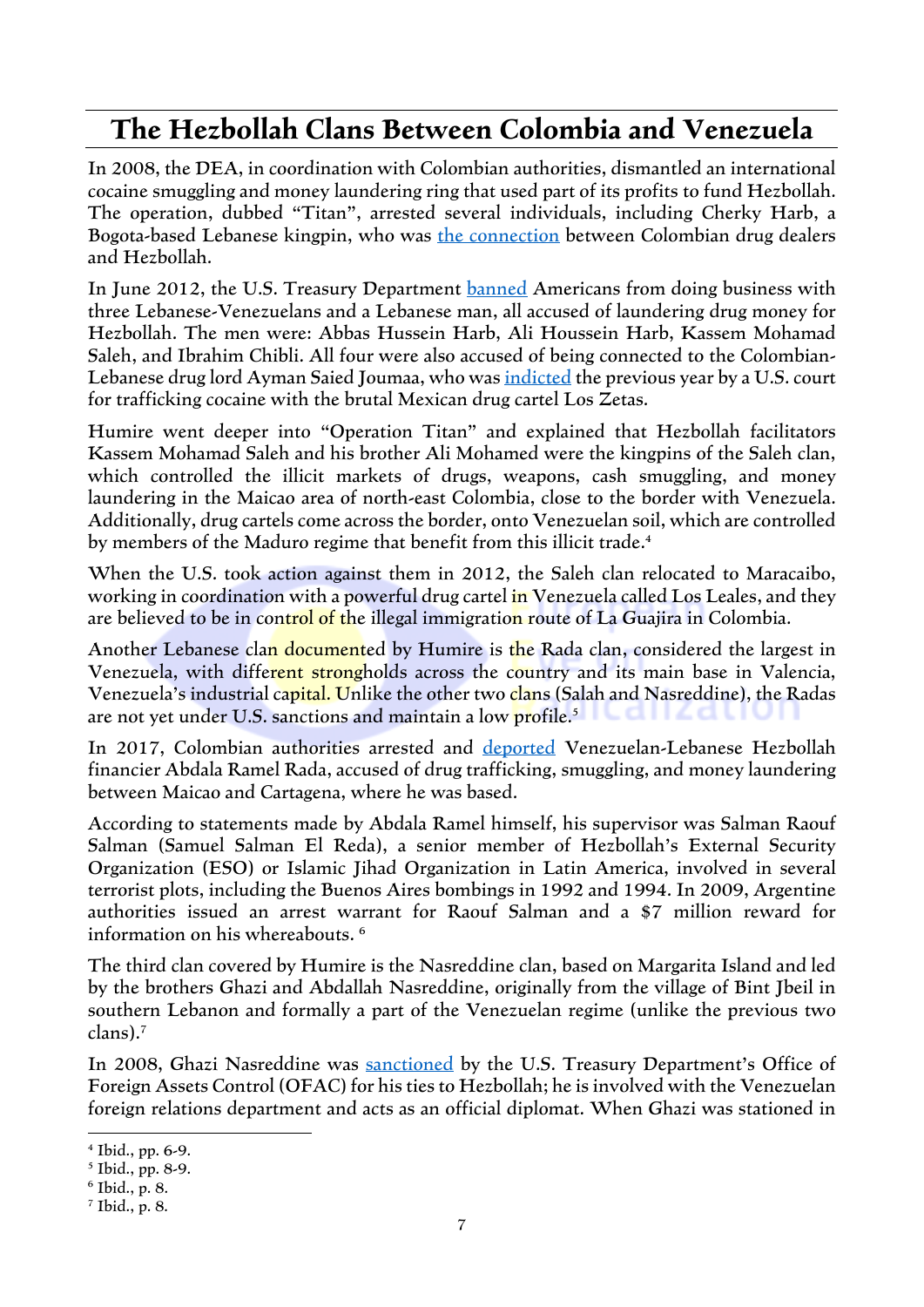#### **The Hezbollah Clans Between Colombia and Venezuela**

In 2008, the DEA, in coordination with Colombian authorities, dismantled an international cocaine smuggling and money laundering ring that used part of its profits to fund Hezbollah. The operation, dubbed "Titan", arrested several individuals, including Cherky Harb, a Bogota-based Lebanese kingpin, who was the [connection](https://www.washingtoninstitute.org/media/3202) between Colombian drug dealers and Hezbollah.

In June 2012, the U.S. Treasury Department [banned](https://www.reuters.com/article/usa-lebanon-drugs-idUSL2E8HR91H20120627) Americans from doing business with three Lebanese-Venezuelans and a Lebanese man, all accused of laundering drug money for Hezbollah. The men were: Abbas Hussein Harb, Ali Houssein Harb, Kassem Mohamad Saleh, and Ibrahim Chibli. All four were also accused of being connected to the Colombian-Lebanese drug lord Ayman Saied Joumaa, who was [indicted](https://www.justice.gov/archive/usao/vae/news/2011/12/20111213joumaanr.html) the previous year by a U.S. court for trafficking cocaine with the brutal Mexican drug cartel Los Zetas.

Humire went deeper into "Operation Titan" and explained that Hezbollah facilitators Kassem Mohamad Saleh and his brother Ali Mohamed were the kingpins of the Saleh clan, which controlled the illicit markets of drugs, weapons, cash smuggling, and money laundering in the Maicao area of north-east Colombia, close to the border with Venezuela. Additionally, drug cartels come across the border, onto Venezuelan soil, which are controlled by members of the Maduro regime that benefit from this illicit trade.<sup>4</sup>

When the U.S. took action against them in 2012, the Saleh clan relocated to Maracaibo, working in coordination with a powerful drug cartel in Venezuela called Los Leales, and they are believed to be in control of the illegal immigration route of La Guajira in Colombia.

Another Lebanese clan documented by Humire is the Rada clan, considered the largest in Venezuela, with different strongholds across the country and its main base in Valencia, Venezuela's industrial capital. Unlike the other two clans (Salah and Nasreddine), the Radas are not yet under U.S. sanctions and maintain a low profile.<sup>5</sup>

In 2017, Colombian authorities arrested and [deported](https://www.eltiempo.com/justicia/policia-expulso-del-pais-ciudadano-libanes-vinculado-con-narcotrafico-145546) Venezuelan-Lebanese Hezbollah financier Abdala Ramel Rada, accused of drug trafficking, smuggling, and money laundering between Maicao and Cartagena, where he was based.

According to statements made by Abdala Ramel himself, his supervisor was Salman Raouf Salman (Samuel Salman El Reda), a senior member of Hezbollah's External Security Organization (ESO) or Islamic Jihad Organization in Latin America, involved in several terrorist plots, including the Buenos Aires bombings in 1992 and 1994. In 2009, Argentine authorities issued an arrest warrant for Raouf Salman and a \$7 million reward for information on his whereabouts. <sup>6</sup>

The third clan covered by Humire is the Nasreddine clan, based on Margarita Island and led by the brothers Ghazi and Abdallah Nasreddine, originally from the village of Bint Jbeil in southern Lebanon and formally a part of the Venezuelan regime (unlike the previous two clans). 7

In 2008, Ghazi Nasreddine was [sanctioned](https://home.treasury.gov/news/press-releases/hp1036) by the U.S. Treasury Department's Office of Foreign Assets Control (OFAC) for his ties to Hezbollah; he is involved with the Venezuelan foreign relations department and acts as an official diplomat. When Ghazi was stationed in

<sup>4</sup> Ibid., pp. 6-9.

<sup>5</sup> Ibid., pp. 8-9.

<sup>6</sup> Ibid., p. 8.

<sup>7</sup> Ibid., p. 8.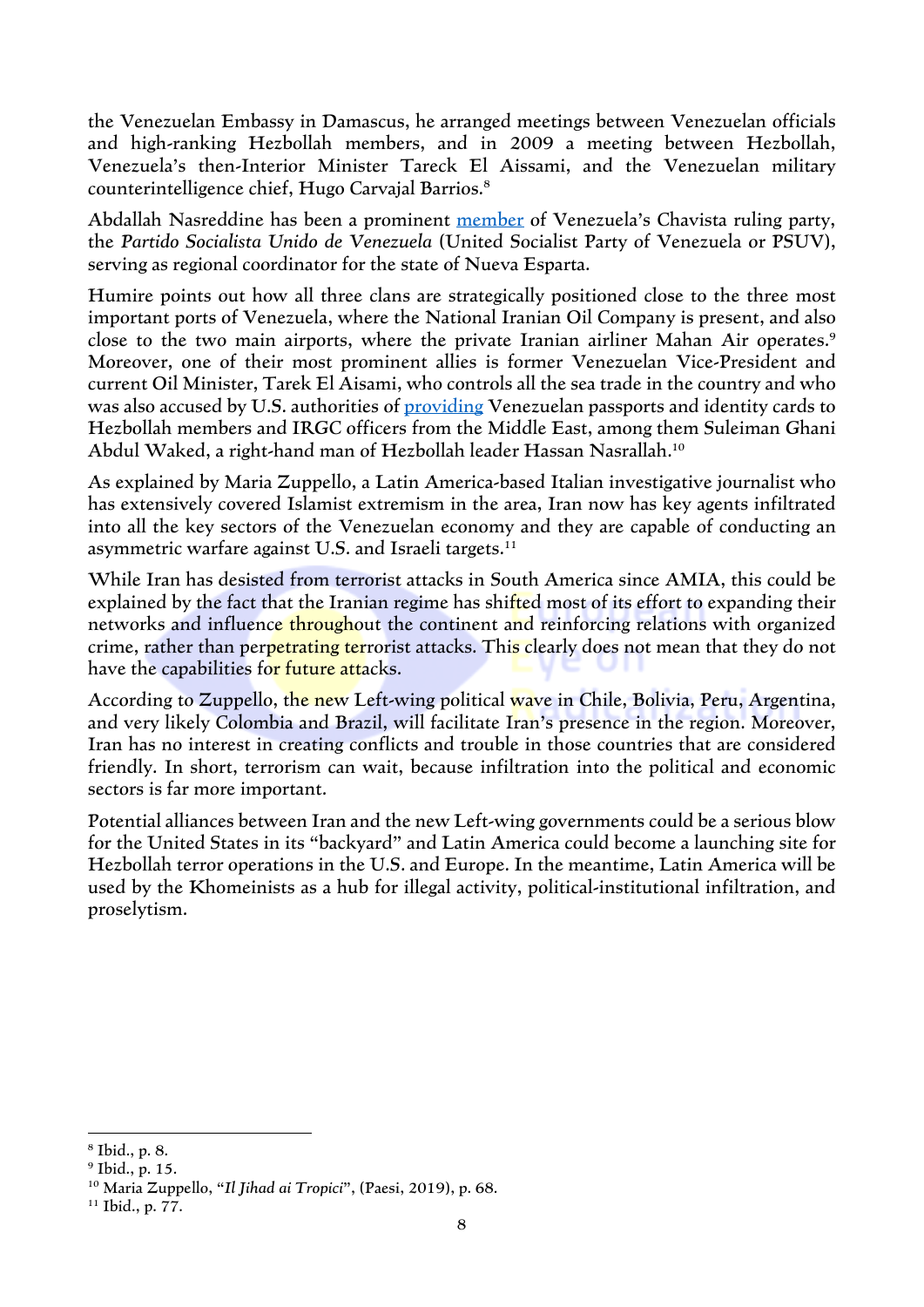the Venezuelan Embassy in Damascus, he arranged meetings between Venezuelan officials and high-ranking Hezbollah members, and in 2009 a meeting between Hezbollah, Venezuela's then-Interior Minister Tareck El Aissami, and the Venezuelan military counterintelligence chief, Hugo Carvajal Barrios.<sup>8</sup>

Abdallah Nasreddine has been a prominent [member](http://lupacultural.blogspot.com/2010/04/abdallah-nassereddine-formalizo-su-pre.html) of Venezuela's Chavista ruling party, the *Partido Socialista Unido de Venezuela* (United Socialist Party of Venezuela or PSUV), serving as regional coordinator for the state of Nueva Esparta.

Humire points out how all three clans are strategically positioned close to the three most important ports of Venezuela, where the National Iranian Oil Company is present, and also close to the two main airports, where the private Iranian airliner Mahan Air operates. 9 Moreover, one of their most prominent allies is former Venezuelan Vice-President and current Oil Minister, Tarek El Aisami, who controls all the sea trade in the country and who was also accused by U.S. authorities of [providing](https://edition.cnn.com/2017/02/08/world/venezuela-passports-investigation/index.html) Venezuelan passports and identity cards to Hezbollah members and IRGC officers from the Middle East, among them Suleiman Ghani Abdul Waked, a right-hand man of Hezbollah leader Hassan Nasrallah.<sup>10</sup>

As explained by Maria Zuppello, a Latin America-based Italian investigative journalist who has extensively covered Islamist extremism in the area, Iran now has key agents infiltrated into all the key sectors of the Venezuelan economy and they are capable of conducting an asymmetric warfare against U.S. and Israeli targets.<sup>11</sup>

While Iran has desisted from terrorist attacks in South America since AMIA, this could be explained by the fact that the Iranian regime has shifted most of its effort to expanding their networks and influence throughout the continent and reinforcing relations with organized crime, rather than perpetrating terrorist attacks. This clearly does not mean that they do not have the capabilities for future attacks.

According to Zuppello, the new Left-wing political wave in Chile, Bolivia, Peru, Argentina, and very likely Colombia and Brazil, will facilitate Iran's presence in the region. Moreover, Iran has no interest in creating conflicts and trouble in those countries that are considered friendly. In short, terrorism can wait, because infiltration into the political and economic sectors is far more important.

Potential alliances between Iran and the new Left-wing governments could be a serious blow for the United States in its "backyard" and Latin America could become a launching site for Hezbollah terror operations in the U.S. and Europe. In the meantime, Latin America will be used by the Khomeinists as a hub for illegal activity, political-institutional infiltration, and proselytism.

<sup>8</sup> Ibid., p. 8.

<sup>9</sup> Ibid., p. 15.

<sup>10</sup> Maria Zuppello, "*Il Jihad ai Tropici*", (Paesi, 2019), p. 68.

<sup>11</sup> Ibid., p. 77.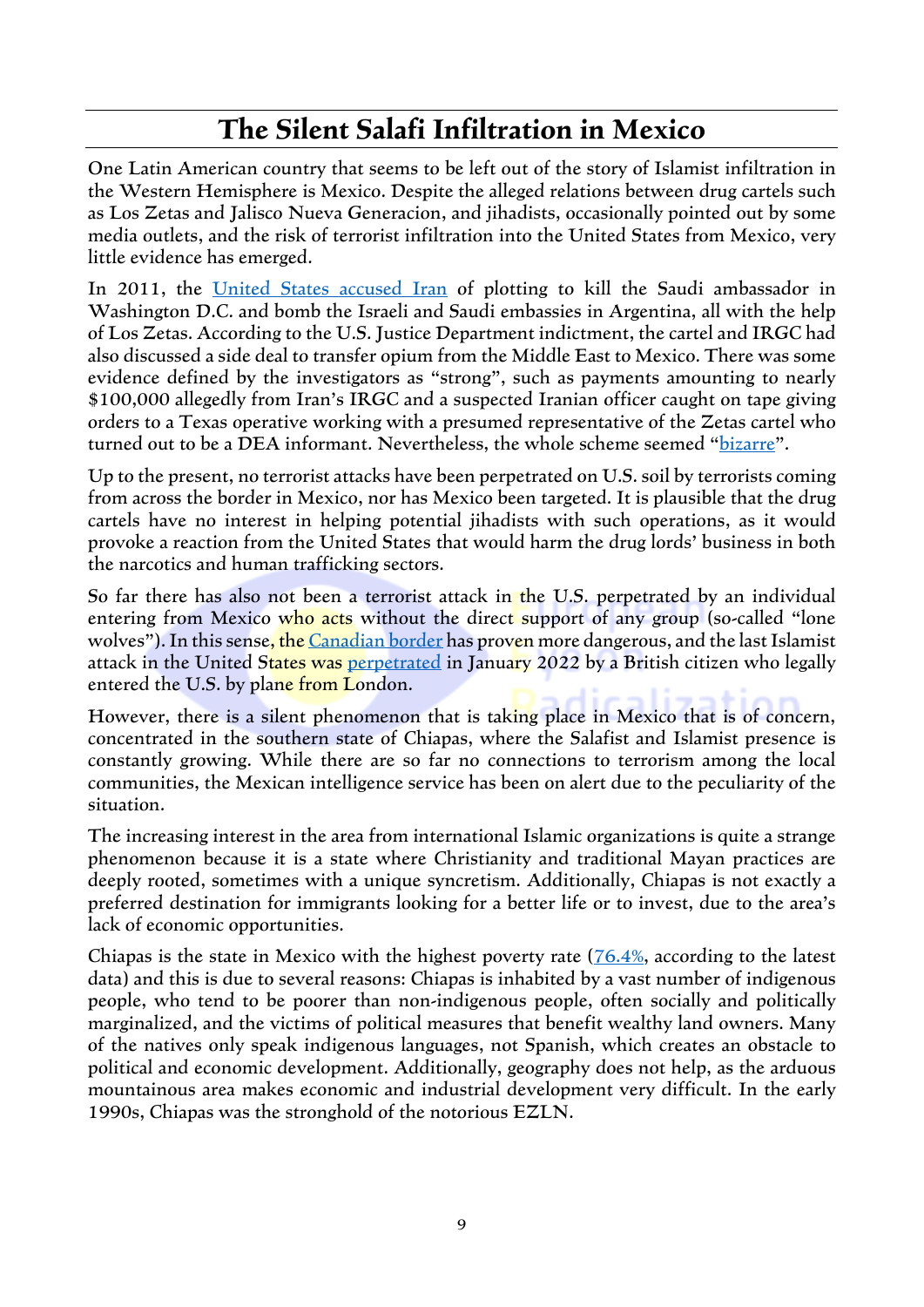#### **The Silent Salafi Infiltration in Mexico**

One Latin American country that seems to be left out of the story of Islamist infiltration in the Western Hemisphere is Mexico. Despite the alleged relations between drug cartels such as Los Zetas and Jalisco Nueva Generacion, and jihadists, occasionally pointed out by some media outlets, and the risk of terrorist infiltration into the United States from Mexico, very little evidence has emerged.

In 2011, the United States [accused](https://www.justice.gov/opa/pr/two-men-charged-alleged-plot-assassinate-saudi-arabian-ambassador-united-states) Iran of plotting to kill the Saudi ambassador in Washington D.C. and bomb the Israeli and Saudi embassies in Argentina, all with the help of Los Zetas. According to the U.S. Justice Department indictment, the cartel and IRGC had also discussed a side deal to transfer opium from the Middle East to Mexico. There was some evidence defined by the investigators as "strong", such as payments amounting to nearly \$100,000 allegedly from Iran's IRGC and a suspected Iranian officer caught on tape giving orders to a Texas operative working with a presumed representative of the Zetas cartel who turned out to be a DEA informant. Nevertheless, the whole scheme seemed "[bizarre](https://www.nytimes.com/2011/10/12/us/us-accuses-iranians-of-plotting-to-kill-saudi-envoy.html)".

Up to the present, no terrorist attacks have been perpetrated on U.S. soil by terrorists coming from across the border in Mexico, nor has Mexico been targeted. It is plausible that the drug cartels have no interest in helping potential jihadists with such operations, as it would provoke a reaction from the United States that would harm the drug lords' business in both the narcotics and human trafficking sectors.

So far there has also not been a terrorist attack in the U.S. perpetrated by an individual entering from Mexico who acts without the direct support of any group (so-called "lone wolves"). In this sense, the [Canadian border](https://www.latimes.com/archives/la-xpm-2001-mar-11-mn-36272-story.html) has proven more dangerous, and the last Islamist attack in the United States was [perpetrated](https://abcnews.go.com/US/alleged-hostage-taker-texas-synagogue-british-authorities-sources/story?id=82325027) in January 2022 by a British citizen who legally entered the U.S. by plane from London.

However, there is a silent phenomenon that is taking place in Mexico that is of concern, concentrated in the southern state of Chiapas, where the Salafist and Islamist presence is constantly growing. While there are so far no connections to terrorism among the local communities, the Mexican intelligence service has been on alert due to the peculiarity of the situation.

The increasing interest in the area from international Islamic organizations is quite a strange phenomenon because it is a state where Christianity and traditional Mayan practices are deeply rooted, sometimes with a unique syncretism. Additionally, Chiapas is not exactly a preferred destination for immigrants looking for a better life or to invest, due to the area's lack of economic opportunities.

Chiapas is the state in Mexico with the highest poverty rate [\(76.4%,](https://theflatbkny.com/mexico/what-state-in-mexico-has-the-highest-poverty-rate/) according to the latest data) and this is due to several reasons: Chiapas is inhabited by a vast number of indigenous people, who tend to be poorer than non-indigenous people, often socially and politically marginalized, and the victims of political measures that benefit wealthy land owners. Many of the natives only speak indigenous languages, not Spanish, which creates an obstacle to political and economic development. Additionally, geography does not help, as the arduous mountainous area makes economic and industrial development very difficult. In the early 1990s, Chiapas was the stronghold of the notorious EZLN.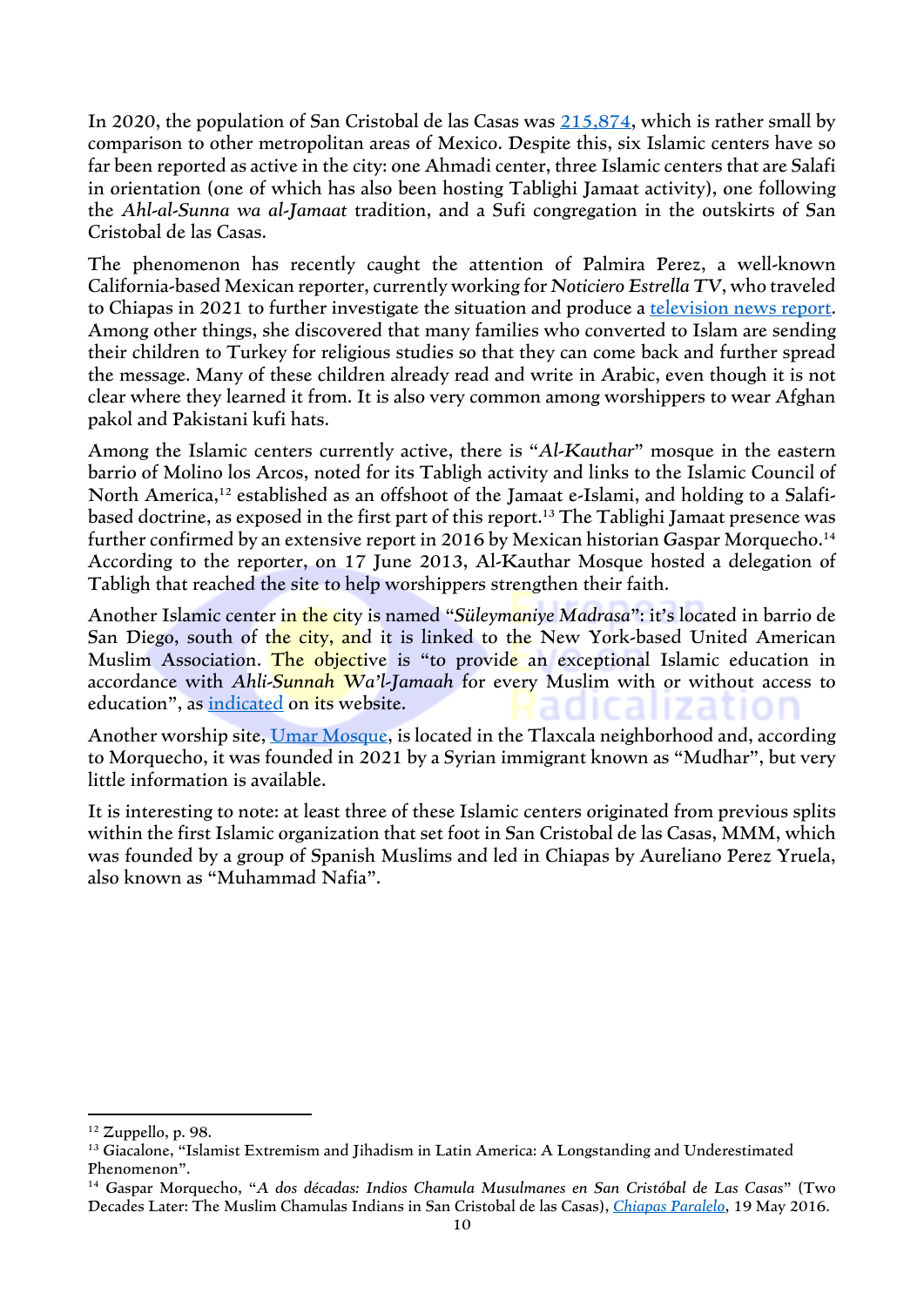In 2020, the population of San Cristobal de las Casas was [215,874,](https://datamexico.org/en/profile/geo/san-cristobal-de-las-casas) which is rather small by comparison to other metropolitan areas of Mexico. Despite this, six Islamic centers have so far been reported as active in the city: one Ahmadi center, three Islamic centers that are Salafi in orientation (one of which has also been hosting Tablighi Jamaat activity), one following the *Ahl-al-Sunna wa al-Jamaat* tradition, and a Sufi congregation in the outskirts of San Cristobal de las Casas.

The phenomenon has recently caught the attention of Palmira Perez, a well-known California-based Mexican reporter, currently working for *Noticiero Estrella TV*, who traveled to Chiapas in 2021 to further investigate the situation and produce a [television news](https://www.youtube.com/watch?v=P1yPCefKDHQ) report. Among other things, she discovered that many families who converted to Islam are sending their children to Turkey for religious studies so that they can come back and further spread the message. Many of these children already read and write in Arabic, even though it is not clear where they learned it from. It is also very common among worshippers to wear Afghan pakol and Pakistani kufi hats.

Among the Islamic centers currently active, there is "*Al-Kauthar*" mosque in the eastern barrio of Molino los Arcos, noted for its Tabligh activity and links to the Islamic Council of North America, <sup>12</sup> established as an offshoot of the Jamaat e-Islami, and holding to a Salafibased doctrine, as exposed in the first part of this report. <sup>13</sup> The Tablighi Jamaat presence was further confirmed by an extensive report in 2016 by Mexican historian Gaspar Morquecho. 14 According to the reporter, on 17 June 2013, Al-Kauthar Mosque hosted a delegation of Tabligh that reached the site to help worshippers strengthen their faith.

Another Islamic center in the city is named "*Süleymaniye Madrasa*": it's located in barrio de San Diego, south of the city, and it is linked to the New York-based United American Muslim Association. The objective is "to provide an exceptional Islamic education in accordance with *Ahli-Sunnah Wa'l-Jamaah* for every Muslim with or without access to education", as [indicated](https://uama.us/en/chiapas-suleymaniye-madrasa/) on its website.

Another worship site, Umar [Mosque,](https://vymaps.com/MX/Mezquita-Umar--882224/) is located in the Tlaxcala neighborhood and, according to Morquecho, it was founded in 2021 by a Syrian immigrant known as "Mudhar", but very little information is available.

It is interesting to note: at least three of these Islamic centers originated from previous splits within the first Islamic organization that set foot in San Cristobal de las Casas, MMM, which was founded by a group of Spanish Muslims and led in Chiapas by Aureliano Perez Yruela, also known as "Muhammad Nafia".

 $12$  Zuppello, p. 98.

<sup>&</sup>lt;sup>13</sup> Giacalone, "Islamist Extremism and Jihadism in Latin America: A Longstanding and Underestimated Phenomenon".

<sup>14</sup> Gaspar Morquecho, "*A dos décadas: Indios Chamula Musulmanes en San Cristóbal de Las Casas*" (Two Decades Later: The Muslim Chamulas Indians in San Cristobal de las Casas), *[Chiapas Paralelo](https://www.chiapasparalelo.com/opinion/2016/05/a-dos-decadas-indios-chamula-musulmanes-en-san-cristobal-de-las-casas/)*, 19 May 2016.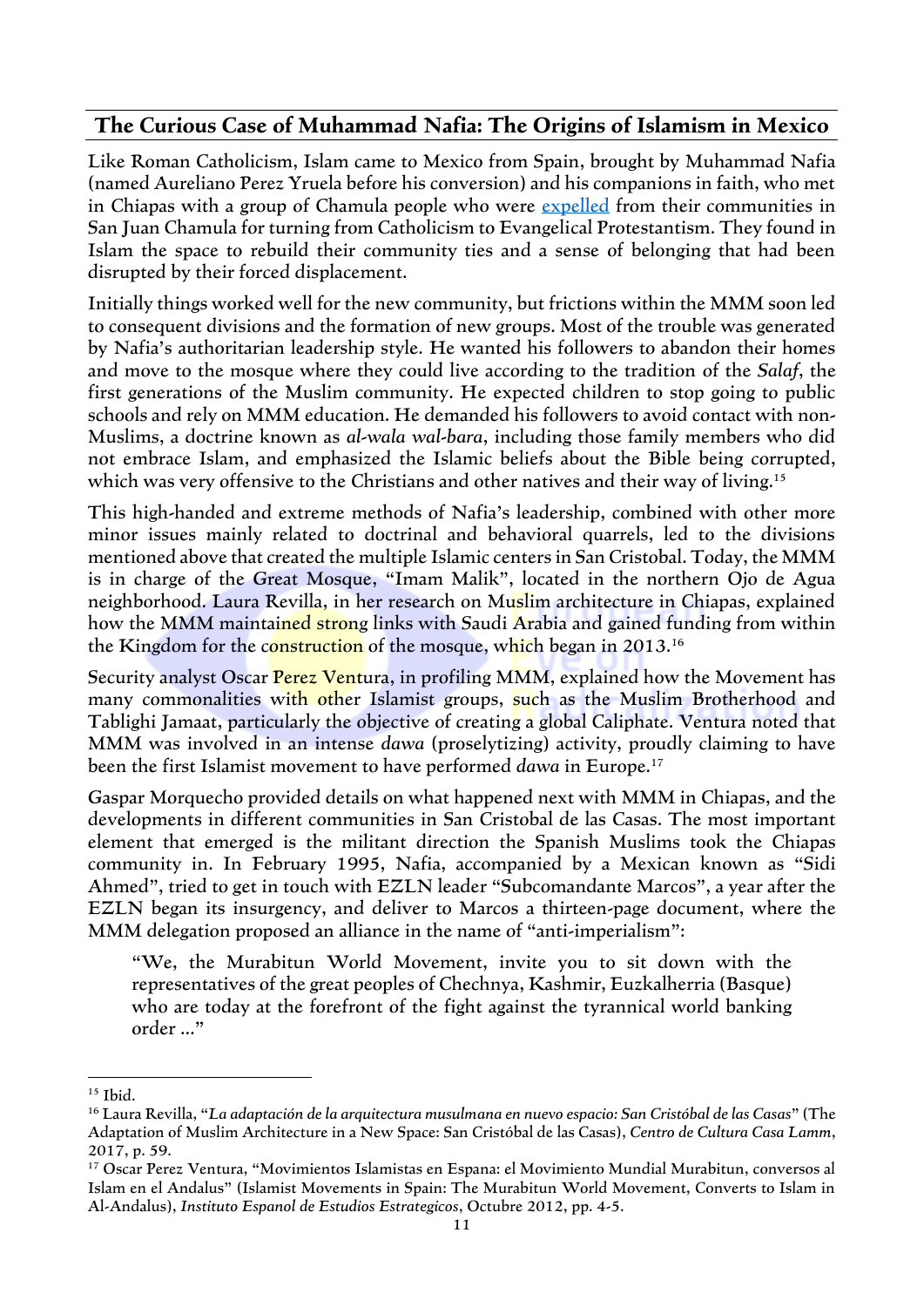#### **The Curious Case of Muhammad Nafia: The Origins of Islamism in Mexico**

Like Roman Catholicism, Islam came to Mexico from Spain, brought by Muhammad Nafia (named Aureliano Perez Yruela before his conversion) and his companions in faith, who met in Chiapas with a group of Chamula people who were [expelled](https://piedepagina.mx/los-musulmanes-de-chiapas-estan-haciendo-el-ramadan/) from their communities in San Juan Chamula for turning from Catholicism to Evangelical Protestantism. They found in Islam the space to rebuild their community ties and a sense of belonging that had been disrupted by their forced displacement.

Initially things worked well for the new community, but frictions within the MMM soon led to consequent divisions and the formation of new groups. Most of the trouble was generated by Nafia's authoritarian leadership style. He wanted his followers to abandon their homes and move to the mosque where they could live according to the tradition of the *Salaf*, the first generations of the Muslim community. He expected children to stop going to public schools and rely on MMM education. He demanded his followers to avoid contact with non-Muslims, a doctrine known as *al-wala wal-bara*, including those family members who did not embrace Islam, and emphasized the Islamic beliefs about the Bible being corrupted, which was very offensive to the Christians and other natives and their way of living.<sup>15</sup>

This high-handed and extreme methods of Nafia's leadership, combined with other more minor issues mainly related to doctrinal and behavioral quarrels, led to the divisions mentioned above that created the multiple Islamic centers in San Cristobal. Today, the MMM is in charge of the Great Mosque, "Imam Malik", located in the northern Ojo de Agua neighborhood. Laura Revilla, in her research on Muslim architecture in Chiapas, explained how the MMM maintained strong links with Saudi Arabia and gained funding from within the Kingdom for the construction of the mosque, which began in 2013.<sup>16</sup>

Security analyst Oscar Perez Ventura, in profiling MMM, explained how the Movement has many commonalities with other Islamist groups, such as the Muslim Brotherhood and Tablighi Jamaat, particularly the objective of creating a global Caliphate. Ventura noted that MMM was involved in an intense *dawa* (proselytizing) activity, proudly claiming to have been the first Islamist movement to have performed *dawa* in Europe.<sup>17</sup>

Gaspar Morquecho provided details on what happened next with MMM in Chiapas, and the developments in different communities in San Cristobal de las Casas. The most important element that emerged is the militant direction the Spanish Muslims took the Chiapas community in. In February 1995, Nafia, accompanied by a Mexican known as "Sidi Ahmed", tried to get in touch with EZLN leader "Subcomandante Marcos", a year after the EZLN began its insurgency, and deliver to Marcos a thirteen-page document, where the MMM delegation proposed an alliance in the name of "anti-imperialism":

"We, the Murabitun World Movement, invite you to sit down with the representatives of the great peoples of Chechnya, Kashmir, Euzkalherria (Basque) who are today at the forefront of the fight against the tyrannical world banking order …"

<sup>15</sup> Ibid.

<sup>16</sup> Laura Revilla, "*La adaptación de la arquitectura musulmana en nuevo espacio: San Cristóbal de las Casas*" (The Adaptation of Muslim Architecture in a New Space: San Cristóbal de las Casas), *Centro de Cultura Casa Lamm*, 2017, p. 59.

<sup>17</sup> Oscar Perez Ventura, "Movimientos Islamistas en Espana: el Movimiento Mundial Murabitun, conversos al Islam en el Andalus" (Islamist Movements in Spain: The Murabitun World Movement, Converts to Islam in Al-Andalus), *Instituto Espanol de Estudios Estrategicos*, Octubre 2012, pp. 4-5.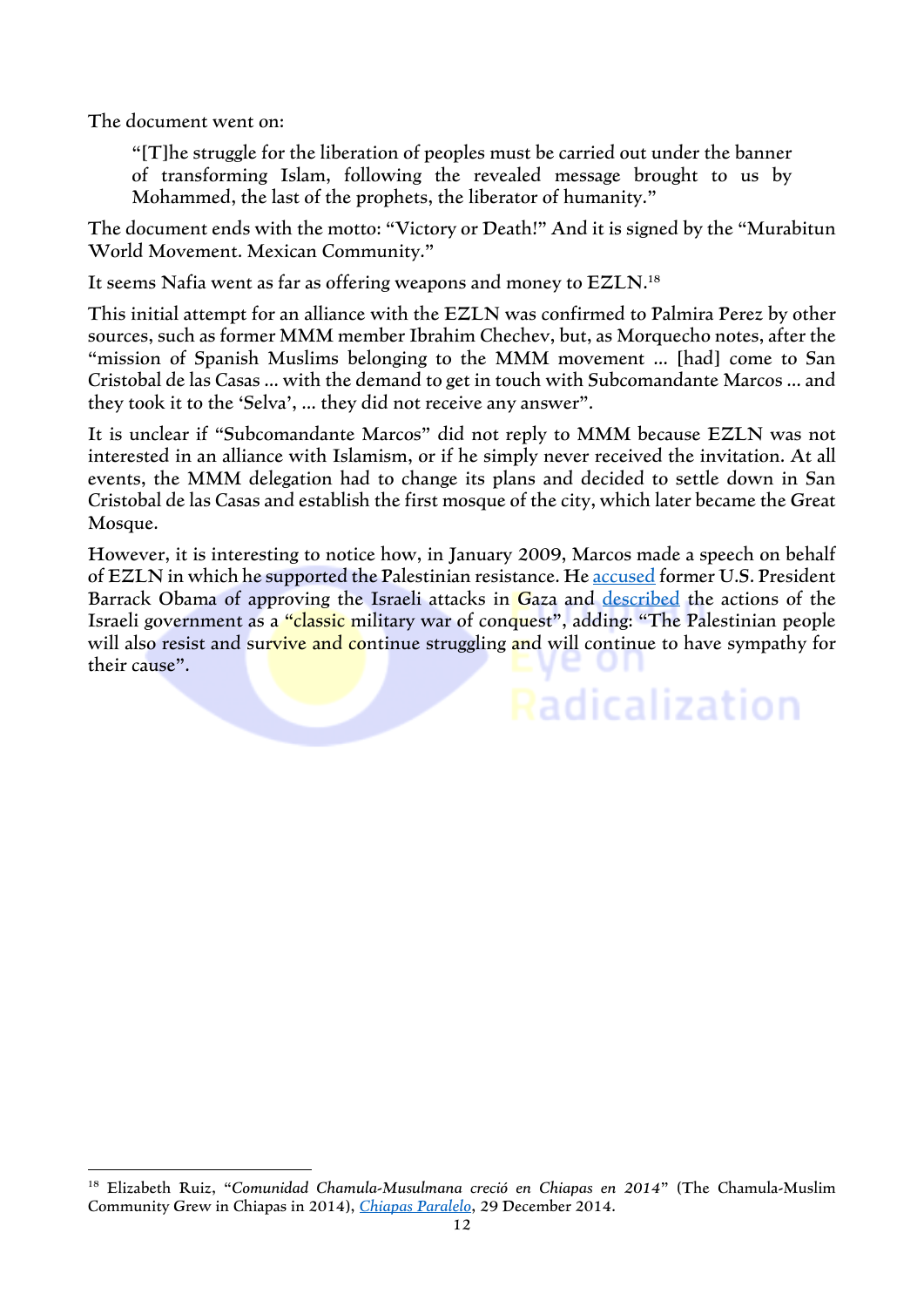The document went on:

"[T]he struggle for the liberation of peoples must be carried out under the banner of transforming Islam, following the revealed message brought to us by Mohammed, the last of the prophets, the liberator of humanity."

The document ends with the motto: "Victory or Death!" And it is signed by the "Murabitun World Movement. Mexican Community."

It seems Nafia went as far as offering weapons and money to EZLN.<sup>18</sup>

This initial attempt for an alliance with the EZLN was confirmed to Palmira Perez by other sources, such as former MMM member Ibrahim Chechev, but, as Morquecho notes, after the "mission of Spanish Muslims belonging to the MMM movement … [had] come to San Cristobal de las Casas … with the demand to get in touch with Subcomandante Marcos … and they took it to the 'Selva', … they did not receive any answer".

It is unclear if "Subcomandante Marcos" did not reply to MMM because EZLN was not interested in an alliance with Islamism, or if he simply never received the invitation. At all events, the MMM delegation had to change its plans and decided to settle down in San Cristobal de las Casas and establish the first mosque of the city, which later became the Great Mosque.

However, it is interesting to notice how, in January 2009, Marcos made a speech on behalf of EZLN in which he supported the Palestinian resistance. He [accused](https://elpais.com/internacional/2009/01/03/actualidad/1230937203_850215.html) former U.S. President Barrack Obama of approving the Israeli attacks in Gaza and [described](https://www.jornada.com.mx/2009/01/05/index.php?section=politica&article=011n1pol) the actions of the Israeli government as a "classic military war of conquest", adding: "The Palestinian people will also resist and survive and continue struggling and will continue to have sympathy for their cause".

**Radicalization** 

<sup>18</sup> Elizabeth Ruiz, "*Comunidad Chamula-Musulmana creció en Chiapas en 2014*" (The Chamula-Muslim Community Grew in Chiapas in 2014), *[Chiapas Paralelo](https://www.chiapasparalelo.com/noticias/chiapas/2014/12/comunidad-chamula-musulmana-crecio-en-chiapas-en-2014/)*, 29 December 2014.